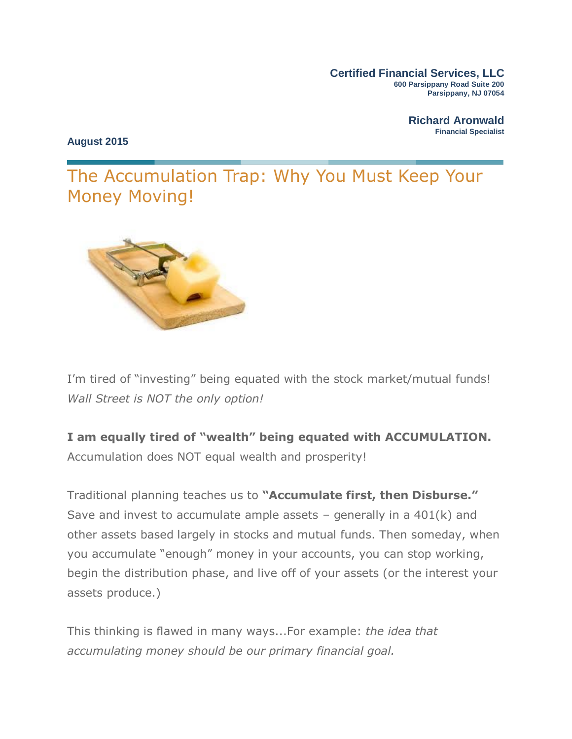**Certified Financial Services, LLC 600 Parsippany Road Suite 200 Parsippany, NJ 07054**

> **Richard Aronwald Financial Specialist**

**August 2015**

The Accumulation Trap: Why You Must Keep Your Money Moving!



I'm tired of "investing" being equated with the stock market/mutual funds! *Wall Street is NOT the only option!*

**I am equally tired of "wealth" being equated with ACCUMULATION.** Accumulation does NOT equal wealth and prosperity!

Traditional planning teaches us to **"Accumulate first, then Disburse."**  Save and invest to accumulate ample assets  $-$  generally in a 401(k) and other assets based largely in stocks and mutual funds. Then someday, when you accumulate "enough" money in your accounts, you can stop working, begin the distribution phase, and live off of your assets (or the interest your assets produce.)

This thinking is flawed in many ways...For example: *the idea that accumulating money should be our primary financial goal.*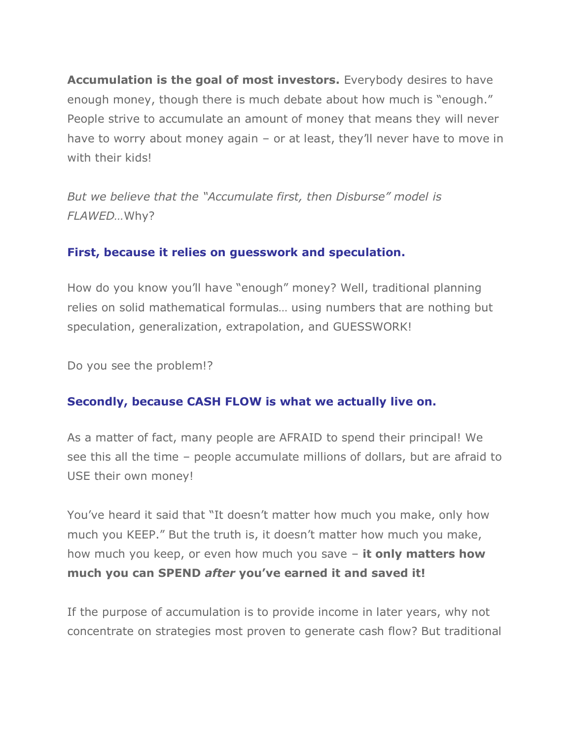**Accumulation is the goal of most investors.** Everybody desires to have enough money, though there is much debate about how much is "enough." People strive to accumulate an amount of money that means they will never have to worry about money again – or at least, they'll never have to move in with their kids!

*But we believe that the "Accumulate first, then Disburse" model is FLAWED…*Why?

### **First, because it relies on guesswork and speculation.**

How do you know you'll have "enough" money? Well, traditional planning relies on solid mathematical formulas… using numbers that are nothing but speculation, generalization, extrapolation, and GUESSWORK!

Do you see the problem!?

### **Secondly, because CASH FLOW is what we actually live on.**

As a matter of fact, many people are AFRAID to spend their principal! We see this all the time – people accumulate millions of dollars, but are afraid to USE their own money!

You've heard it said that "It doesn't matter how much you make, only how much you KEEP." But the truth is, it doesn't matter how much you make, how much you keep, or even how much you save – **it only matters how much you can SPEND** *after* **you've earned it and saved it!**

If the purpose of accumulation is to provide income in later years, why not concentrate on strategies most proven to generate cash flow? But traditional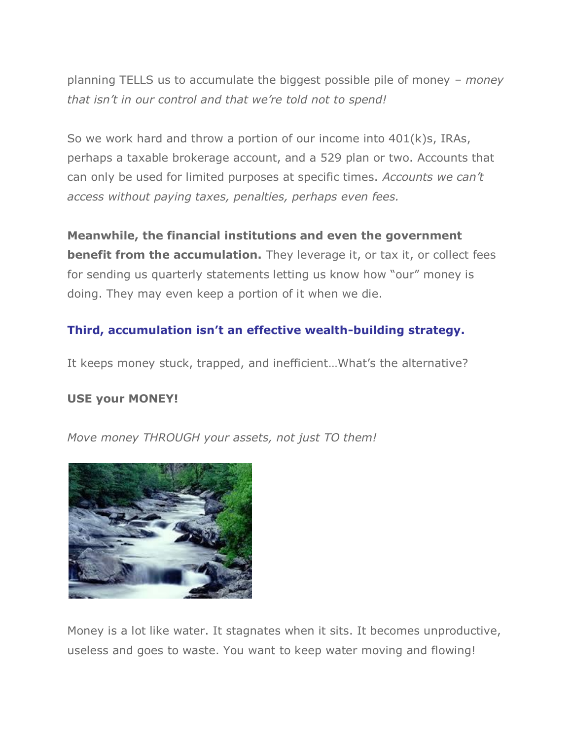planning TELLS us to accumulate the biggest possible pile of money – *money that isn't in our control and that we're told not to spend!*

So we work hard and throw a portion of our income into 401(k)s, IRAs, perhaps a taxable brokerage account, and a 529 plan or two. Accounts that can only be used for limited purposes at specific times. *Accounts we can't access without paying taxes, penalties, perhaps even fees.*

**Meanwhile, the financial institutions and even the government benefit from the accumulation.** They leverage it, or tax it, or collect fees for sending us quarterly statements letting us know how "our" money is doing. They may even keep a portion of it when we die.

## **Third, accumulation isn't an effective wealth-building strategy.**

It keeps money stuck, trapped, and inefficient…What's the alternative?

### **USE your MONEY!**

*Move money THROUGH your assets, not just TO them!*



Money is a lot like water. It stagnates when it sits. It becomes unproductive, useless and goes to waste. You want to keep water moving and flowing!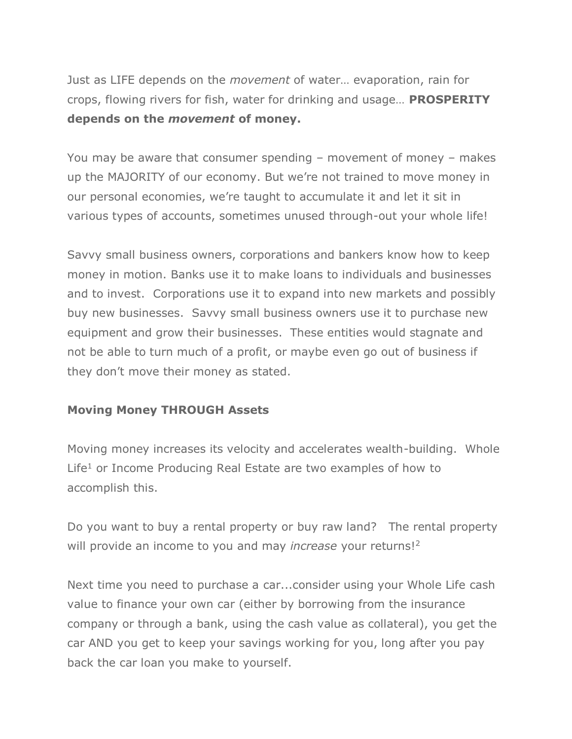Just as LIFE depends on the *movement* of water… evaporation, rain for crops, flowing rivers for fish, water for drinking and usage… **PROSPERITY depends on the** *movement* **of money.**

You may be aware that consumer spending – movement of money – makes up the MAJORITY of our economy. But we're not trained to move money in our personal economies, we're taught to accumulate it and let it sit in various types of accounts, sometimes unused through-out your whole life!

Savvy small business owners, corporations and bankers know how to keep money in motion. Banks use it to make loans to individuals and businesses and to invest. Corporations use it to expand into new markets and possibly buy new businesses. Savvy small business owners use it to purchase new equipment and grow their businesses. These entities would stagnate and not be able to turn much of a profit, or maybe even go out of business if they don't move their money as stated.

### **Moving Money THROUGH Assets**

Moving money increases its velocity and accelerates wealth-building. Whole Life<sup>1</sup> or Income Producing Real Estate are two examples of how to accomplish this.

Do you want to buy a rental property or buy raw land? The rental property will provide an income to you and may *increase* your returns!<sup>2</sup>

Next time you need to purchase a car...consider using your Whole Life cash value to finance your own car (either by borrowing from the insurance company or through a bank, using the cash value as collateral), you get the car AND you get to keep your savings working for you, long after you pay back the car loan you make to yourself.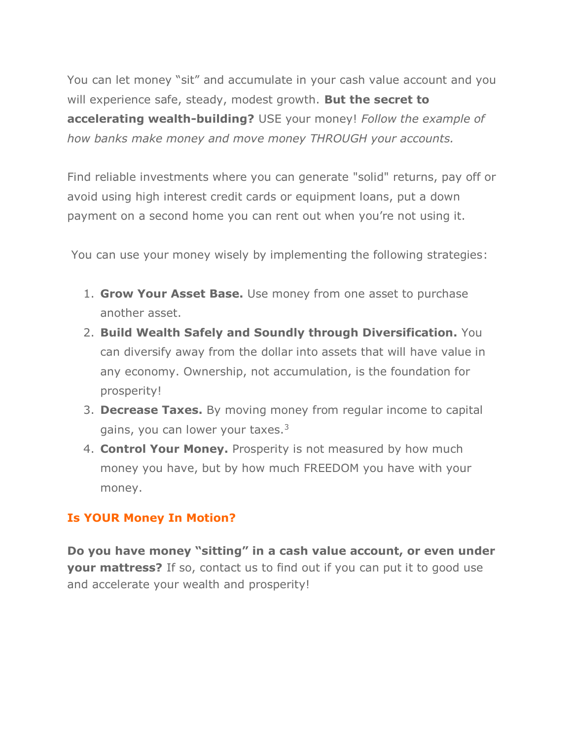You can let money "sit" and accumulate in your cash value account and you will experience safe, steady, modest growth. **But the secret to accelerating wealth-building?** USE your money! *Follow the example of how banks make money and move money THROUGH your accounts.*

Find reliable investments where you can generate "solid" returns, pay off or avoid using high interest credit cards or equipment loans, put a down payment on a second home you can rent out when you're not using it.

You can use your money wisely by implementing the following strategies:

- 1. **Grow Your Asset Base.** Use money from one asset to purchase another asset.
- 2. **Build Wealth Safely and Soundly through Diversification.** You can diversify away from the dollar into assets that will have value in any economy. Ownership, not accumulation, is the foundation for prosperity!
- 3. **Decrease Taxes.** By moving money from regular income to capital gains, you can lower your taxes.<sup>3</sup>
- 4. **Control Your Money.** Prosperity is not measured by how much money you have, but by how much FREEDOM you have with your money.

# **Is YOUR Money In Motion?**

**Do you have money "sitting" in a cash value account, or even under your mattress?** If so, contact us to find out if you can put it to good use and accelerate your wealth and prosperity!